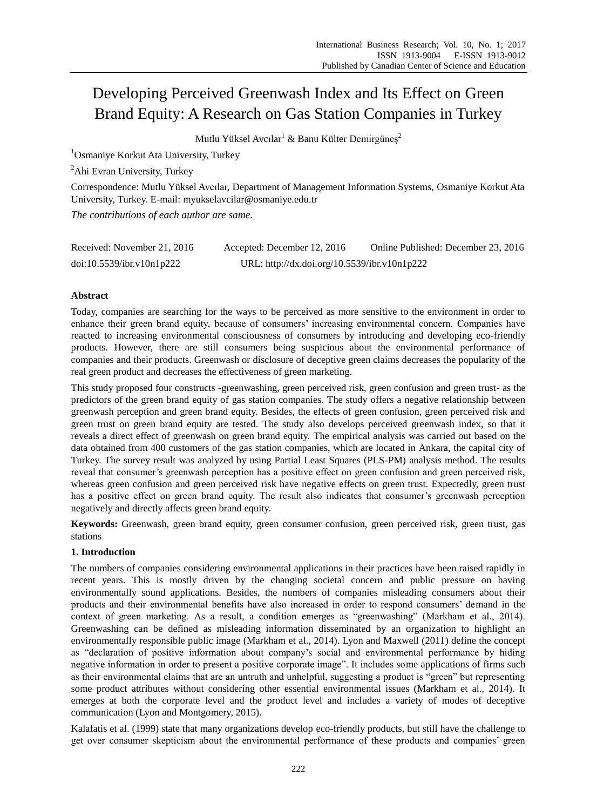# Developing Perceived Greenwash Index and Its Effect on Green Brand Equity: A Research on Gas Station Companies in Turkey

Mutlu Yüksel Avcılar<sup>1</sup> & Banu Külter Demirgüneş<sup>2</sup>

<sup>1</sup>Osmaniye Korkut Ata University, Turkey

<sup>2</sup>Ahi Evran University, Turkey

Correspondence: Mutlu Yüksel Avcılar, Department of Management Information Systems, Osmaniye Korkut Ata University, Turkey. E-mail: myukselavcilar@osmaniye.edu.tr

*The contributions of each author are same.*

| Received: November 21, 2016 | Accepted: December 12, 2016                  | Online Published: December 23, 2016 |
|-----------------------------|----------------------------------------------|-------------------------------------|
| doi:10.5539/ibr.v10n1p222   | URL: http://dx.doi.org/10.5539/ibr.v10n1p222 |                                     |

# **Abstract**

Today, companies are searching for the ways to be perceived as more sensitive to the environment in order to enhance their green brand equity, because of consumers" increasing environmental concern. Companies have reacted to increasing environmental consciousness of consumers by introducing and developing eco-friendly products. However, there are still consumers being suspicious about the environmental performance of companies and their products. Greenwash or disclosure of deceptive green claims decreases the popularity of the real green product and decreases the effectiveness of green marketing.

This study proposed four constructs -greenwashing, green perceived risk, green confusion and green trust- as the predictors of the green brand equity of gas station companies. The study offers a negative relationship between greenwash perception and green brand equity. Besides, the effects of green confusion, green perceived risk and green trust on green brand equity are tested. The study also develops perceived greenwash index, so that it reveals a direct effect of greenwash on green brand equity. The empirical analysis was carried out based on the data obtained from 400 customers of the gas station companies, which are located in Ankara, the capital city of Turkey. The survey result was analyzed by using Partial Least Squares (PLS-PM) analysis method. The results reveal that consumer's greenwash perception has a positive effect on green confusion and green perceived risk, whereas green confusion and green perceived risk have negative effects on green trust. Expectedly, green trust has a positive effect on green brand equity. The result also indicates that consumer's greenwash perception negatively and directly affects green brand equity.

**Keywords:** Greenwash, green brand equity, green consumer confusion, green perceived risk, green trust, gas stations

# **1. Introduction**

The numbers of companies considering environmental applications in their practices have been raised rapidly in recent years. This is mostly driven by the changing societal concern and public pressure on having environmentally sound applications. Besides, the numbers of companies misleading consumers about their products and their environmental benefits have also increased in order to respond consumers" demand in the context of green marketing. As a result, a condition emerges as "greenwashing" (Markham et al., 2014). Greenwashing can be defined as misleading information disseminated by an organization to highlight an environmentally responsible public image (Markham et al., 2014). Lyon and Maxwell (2011) define the concept as "declaration of positive information about company"s social and environmental performance by hiding negative information in order to present a positive corporate image". It includes some applications of firms such as their environmental claims that are an untruth and unhelpful, suggesting a product is "green" but representing some product attributes without considering other essential environmental issues (Markham et al., 2014). It emerges at both the corporate level and the product level and includes a variety of modes of deceptive communication (Lyon and Montgomery, 2015).

Kalafatis et al. (1999) state that many organizations develop eco-friendly products, but still have the challenge to get over consumer skepticism about the environmental performance of these products and companies" green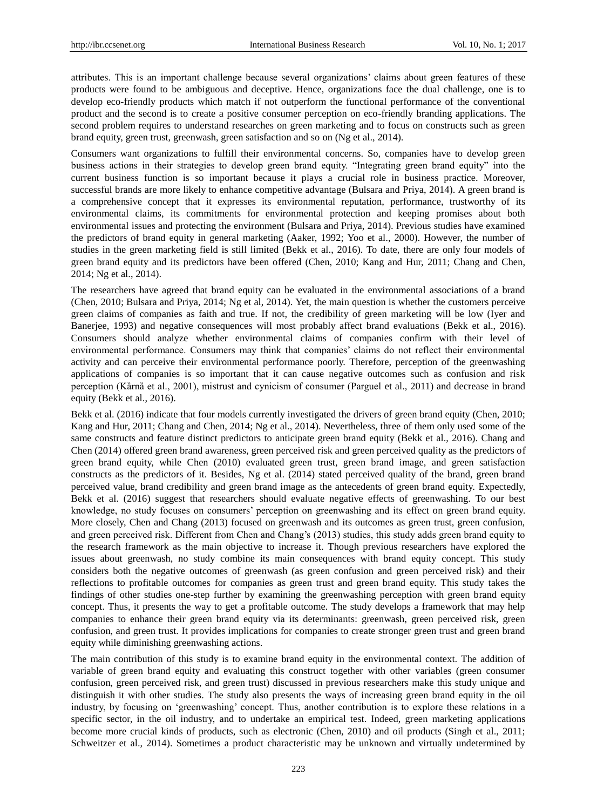attributes. This is an important challenge because several organizations" claims about green features of these products were found to be ambiguous and deceptive. Hence, organizations face the dual challenge, one is to develop eco-friendly products which match if not outperform the functional performance of the conventional product and the second is to create a positive consumer perception on eco-friendly branding applications. The second problem requires to understand researches on green marketing and to focus on constructs such as green brand equity, green trust, greenwash, green satisfaction and so on (Ng et al., 2014).

Consumers want organizations to fulfill their environmental concerns. So, companies have to develop green business actions in their strategies to develop green brand equity. "Integrating green brand equity" into the current business function is so important because it plays a crucial role in business practice. Moreover, successful brands are more likely to enhance competitive advantage (Bulsara and Priya, 2014). A green brand is a comprehensive concept that it expresses its environmental reputation, performance, trustworthy of its environmental claims, its commitments for environmental protection and keeping promises about both environmental issues and protecting the environment (Bulsara and Priya, 2014). Previous studies have examined the predictors of brand equity in general marketing (Aaker, 1992; Yoo et al., 2000). However, the number of studies in the green marketing field is still limited (Bekk et al., 2016). To date, there are only four models of green brand equity and its predictors have been offered (Chen, 2010; Kang and Hur, 2011; Chang and Chen, 2014; Ng et al., 2014).

The researchers have agreed that brand equity can be evaluated in the environmental associations of a brand (Chen, 2010; Bulsara and Priya, 2014; Ng et al, 2014). Yet, the main question is whether the customers perceive green claims of companies as faith and true. If not, the credibility of green marketing will be low (Iyer and Banerjee, 1993) and negative consequences will most probably affect brand evaluations (Bekk et al., 2016). Consumers should analyze whether environmental claims of companies confirm with their level of environmental performance. Consumers may think that companies" claims do not reflect their environmental activity and can perceive their environmental performance poorly. Therefore, perception of the greenwashing applications of companies is so important that it can cause negative outcomes such as confusion and risk perception (Kȁrnȁ et al., 2001), mistrust and cynicism of consumer (Parguel et al., 2011) and decrease in brand equity (Bekk et al., 2016).

Bekk et al. (2016) indicate that four models currently investigated the drivers of green brand equity (Chen, 2010; Kang and Hur, 2011; Chang and Chen, 2014; Ng et al., 2014). Nevertheless, three of them only used some of the same constructs and feature distinct predictors to anticipate green brand equity (Bekk et al., 2016). Chang and Chen (2014) offered green brand awareness, green perceived risk and green perceived quality as the predictors of green brand equity, while Chen (2010) evaluated green trust, green brand image, and green satisfaction constructs as the predictors of it. Besides, Ng et al. (2014) stated perceived quality of the brand, green brand perceived value, brand credibility and green brand image as the antecedents of green brand equity. Expectedly, Bekk et al. (2016) suggest that researchers should evaluate negative effects of greenwashing. To our best knowledge, no study focuses on consumers" perception on greenwashing and its effect on green brand equity. More closely, Chen and Chang (2013) focused on greenwash and its outcomes as green trust, green confusion, and green perceived risk. Different from Chen and Chang"s (2013) studies, this study adds green brand equity to the research framework as the main objective to increase it. Though previous researchers have explored the issues about greenwash, no study combine its main consequences with brand equity concept. This study considers both the negative outcomes of greenwash (as green confusion and green perceived risk) and their reflections to profitable outcomes for companies as green trust and green brand equity. This study takes the findings of other studies one-step further by examining the greenwashing perception with green brand equity concept. Thus, it presents the way to get a profitable outcome. The study develops a framework that may help companies to enhance their green brand equity via its determinants: greenwash, green perceived risk, green confusion, and green trust. It provides implications for companies to create stronger green trust and green brand equity while diminishing greenwashing actions.

The main contribution of this study is to examine brand equity in the environmental context. The addition of variable of green brand equity and evaluating this construct together with other variables (green consumer confusion, green perceived risk, and green trust) discussed in previous researchers make this study unique and distinguish it with other studies. The study also presents the ways of increasing green brand equity in the oil industry, by focusing on "greenwashing" concept. Thus, another contribution is to explore these relations in a specific sector, in the oil industry, and to undertake an empirical test. Indeed, green marketing applications become more crucial kinds of products, such as electronic (Chen, 2010) and oil products (Singh et al., 2011; Schweitzer et al., 2014). Sometimes a product characteristic may be unknown and virtually undetermined by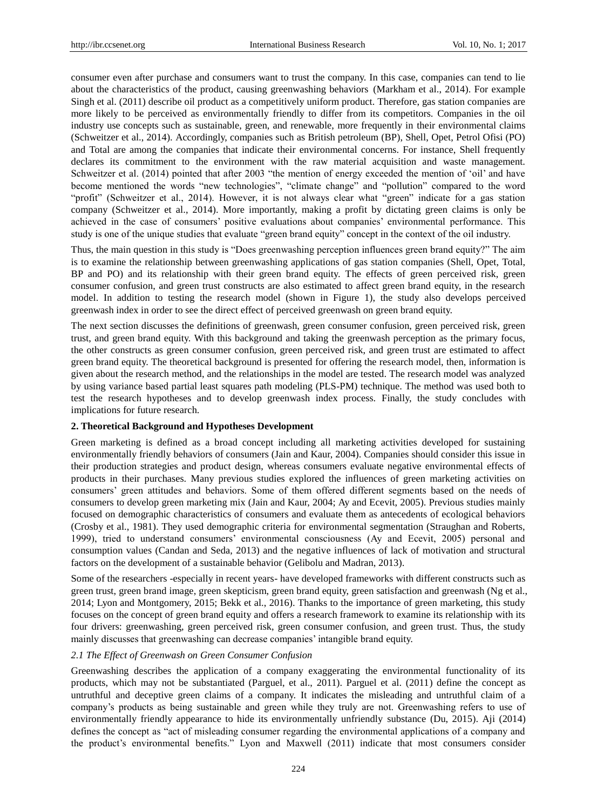consumer even after purchase and consumers want to trust the company. In this case, companies can tend to lie about the characteristics of the product, causing greenwashing behaviors (Markham et al., 2014). For example Singh et al. (2011) describe oil product as a competitively uniform product. Therefore, gas station companies are more likely to be perceived as environmentally friendly to differ from its competitors. Companies in the oil industry use concepts such as sustainable, green, and renewable, more frequently in their environmental claims (Schweitzer et al., 2014). Accordingly, companies such as British petroleum (BP), Shell, Opet, Petrol Ofisi (PO) and Total are among the companies that indicate their environmental concerns. For instance, Shell frequently declares its commitment to the environment with the raw material acquisition and waste management. Schweitzer et al. (2014) pointed that after 2003 "the mention of energy exceeded the mention of "oil" and have become mentioned the words "new technologies", "climate change" and "pollution" compared to the word "profit" (Schweitzer et al., 2014). However, it is not always clear what "green" indicate for a gas station company (Schweitzer et al., 2014). More importantly, making a profit by dictating green claims is only be achieved in the case of consumers" positive evaluations about companies" environmental performance. This study is one of the unique studies that evaluate "green brand equity" concept in the context of the oil industry.

Thus, the main question in this study is "Does greenwashing perception influences green brand equity?" The aim is to examine the relationship between greenwashing applications of gas station companies (Shell, Opet, Total, BP and PO) and its relationship with their green brand equity. The effects of green perceived risk, green consumer confusion, and green trust constructs are also estimated to affect green brand equity, in the research model. In addition to testing the research model (shown in Figure 1), the study also develops perceived greenwash index in order to see the direct effect of perceived greenwash on green brand equity.

The next section discusses the definitions of greenwash, green consumer confusion, green perceived risk, green trust, and green brand equity. With this background and taking the greenwash perception as the primary focus, the other constructs as green consumer confusion, green perceived risk, and green trust are estimated to affect green brand equity. The theoretical background is presented for offering the research model, then, information is given about the research method, and the relationships in the model are tested. The research model was analyzed by using variance based partial least squares path modeling (PLS-PM) technique. The method was used both to test the research hypotheses and to develop greenwash index process. Finally, the study concludes with implications for future research.

#### **2. Theoretical Background and Hypotheses Development**

Green marketing is defined as a broad concept including all marketing activities developed for sustaining environmentally friendly behaviors of consumers (Jain and Kaur, 2004). Companies should consider this issue in their production strategies and product design, whereas consumers evaluate negative environmental effects of products in their purchases. Many previous studies explored the influences of green marketing activities on consumers" green attitudes and behaviors. Some of them offered different segments based on the needs of consumers to develop green marketing mix (Jain and Kaur, 2004; Ay and Ecevit, 2005). Previous studies mainly focused on demographic characteristics of consumers and evaluate them as antecedents of ecological behaviors (Crosby et al., 1981). They used demographic criteria for environmental segmentation (Straughan and Roberts, 1999), tried to understand consumers" environmental consciousness (Ay and Ecevit, 2005) personal and consumption values (Candan and Seda, 2013) and the negative influences of lack of motivation and structural factors on the development of a sustainable behavior (Gelibolu and Madran, 2013).

Some of the researchers -especially in recent years- have developed frameworks with different constructs such as green trust, green brand image, green skepticism, green brand equity, green satisfaction and greenwash (Ng et al., 2014; Lyon and Montgomery, 2015; Bekk et al., 2016). Thanks to the importance of green marketing, this study focuses on the concept of green brand equity and offers a research framework to examine its relationship with its four drivers: greenwashing, green perceived risk, green consumer confusion, and green trust. Thus, the study mainly discusses that greenwashing can decrease companies" intangible brand equity.

#### *2.1 The Effect of Greenwash on Green Consumer Confusion*

Greenwashing describes the application of a company exaggerating the environmental functionality of its products, which may not be substantiated (Parguel, et al., 2011). Parguel et al. (2011) define the concept as untruthful and deceptive green claims of a company. It indicates the misleading and untruthful claim of a company"s products as being sustainable and green while they truly are not. Greenwashing refers to use of environmentally friendly appearance to hide its environmentally unfriendly substance (Du, 2015). Aji (2014) defines the concept as "act of misleading consumer regarding the environmental applications of a company and the product"s environmental benefits." Lyon and Maxwell (2011) indicate that most consumers consider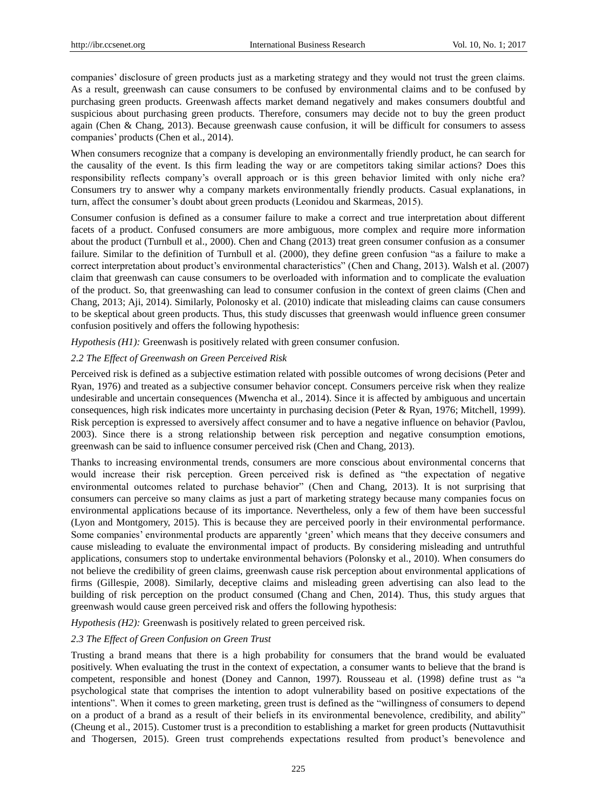companies" disclosure of green products just as a marketing strategy and they would not trust the green claims. As a result, greenwash can cause consumers to be confused by environmental claims and to be confused by purchasing green products. Greenwash affects market demand negatively and makes consumers doubtful and suspicious about purchasing green products. Therefore, consumers may decide not to buy the green product again (Chen & Chang, 2013). Because greenwash cause confusion, it will be difficult for consumers to assess companies" products (Chen et al., 2014).

When consumers recognize that a company is developing an environmentally friendly product, he can search for the causality of the event. Is this firm leading the way or are competitors taking similar actions? Does this responsibility reflects company"s overall approach or is this green behavior limited with only niche era? Consumers try to answer why a company markets environmentally friendly products. Casual explanations, in turn, affect the consumer"s doubt about green products (Leonidou and Skarmeas, 2015).

Consumer confusion is defined as a consumer failure to make a correct and true interpretation about different facets of a product. Confused consumers are more ambiguous, more complex and require more information about the product (Turnbull et al., 2000). Chen and Chang (2013) treat green consumer confusion as a consumer failure. Similar to the definition of Turnbull et al. (2000), they define green confusion "as a failure to make a correct interpretation about product's environmental characteristics" (Chen and Chang, 2013). Walsh et al. (2007) claim that greenwash can cause consumers to be overloaded with information and to complicate the evaluation of the product. So, that greenwashing can lead to consumer confusion in the context of green claims (Chen and Chang, 2013; Aji, 2014). Similarly, Polonosky et al. (2010) indicate that misleading claims can cause consumers to be skeptical about green products. Thus, this study discusses that greenwash would influence green consumer confusion positively and offers the following hypothesis:

*Hypothesis (H1):* Greenwash is positively related with green consumer confusion.

## *2.2 The Effect of Greenwash on Green Perceived Risk*

Perceived risk is defined as a subjective estimation related with possible outcomes of wrong decisions (Peter and Ryan, 1976) and treated as a subjective consumer behavior concept. Consumers perceive risk when they realize undesirable and uncertain consequences (Mwencha et al., 2014). Since it is affected by ambiguous and uncertain consequences, high risk indicates more uncertainty in purchasing decision (Peter & Ryan, 1976; Mitchell, 1999). Risk perception is expressed to aversively affect consumer and to have a negative influence on behavior (Pavlou, 2003). Since there is a strong relationship between risk perception and negative consumption emotions, greenwash can be said to influence consumer perceived risk (Chen and Chang, 2013).

Thanks to increasing environmental trends, consumers are more conscious about environmental concerns that would increase their risk perception. Green perceived risk is defined as "the expectation of negative environmental outcomes related to purchase behavior" (Chen and Chang, 2013). It is not surprising that consumers can perceive so many claims as just a part of marketing strategy because many companies focus on environmental applications because of its importance. Nevertheless, only a few of them have been successful (Lyon and Montgomery, 2015). This is because they are perceived poorly in their environmental performance. Some companies" environmental products are apparently "green" which means that they deceive consumers and cause misleading to evaluate the environmental impact of products. By considering misleading and untruthful applications, consumers stop to undertake environmental behaviors (Polonsky et al., 2010). When consumers do not believe the credibility of green claims, greenwash cause risk perception about environmental applications of firms (Gillespie, 2008). Similarly, deceptive claims and misleading green advertising can also lead to the building of risk perception on the product consumed (Chang and Chen, 2014). Thus, this study argues that greenwash would cause green perceived risk and offers the following hypothesis:

*Hypothesis (H2):* Greenwash is positively related to green perceived risk.

#### *2.3 The Effect of Green Confusion on Green Trust*

Trusting a brand means that there is a high probability for consumers that the brand would be evaluated positively. When evaluating the trust in the context of expectation, a consumer wants to believe that the brand is competent, responsible and honest (Doney and Cannon, 1997). Rousseau et al. (1998) define trust as "a psychological state that comprises the intention to adopt vulnerability based on positive expectations of the intentions". When it comes to green marketing, green trust is defined as the "willingness of consumers to depend on a product of a brand as a result of their beliefs in its environmental benevolence, credibility, and ability" (Cheung et al., 2015). Customer trust is a precondition to establishing a market for green products (Nuttavuthisit and Thogersen, 2015). Green trust comprehends expectations resulted from product's benevolence and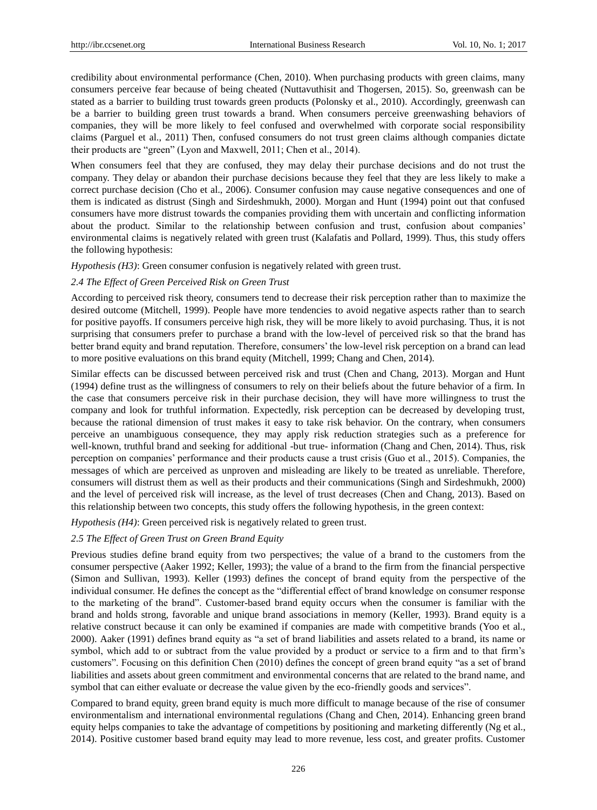credibility about environmental performance (Chen, 2010). When purchasing products with green claims, many consumers perceive fear because of being cheated (Nuttavuthisit and Thogersen, 2015). So, greenwash can be stated as a barrier to building trust towards green products (Polonsky et al., 2010). Accordingly, greenwash can be a barrier to building green trust towards a brand. When consumers perceive greenwashing behaviors of companies, they will be more likely to feel confused and overwhelmed with corporate social responsibility claims (Parguel et al., 2011) Then, confused consumers do not trust green claims although companies dictate their products are "green" (Lyon and Maxwell, 2011; Chen et al., 2014).

When consumers feel that they are confused, they may delay their purchase decisions and do not trust the company. They delay or abandon their purchase decisions because they feel that they are less likely to make a correct purchase decision (Cho et al., 2006). Consumer confusion may cause negative consequences and one of them is indicated as distrust (Singh and Sirdeshmukh, 2000). Morgan and Hunt (1994) point out that confused consumers have more distrust towards the companies providing them with uncertain and conflicting information about the product. Similar to the relationship between confusion and trust, confusion about companies" environmental claims is negatively related with green trust (Kalafatis and Pollard, 1999). Thus, this study offers the following hypothesis:

*Hypothesis (H3)*: Green consumer confusion is negatively related with green trust.

#### *2.4 The Effect of Green Perceived Risk on Green Trust*

According to perceived risk theory, consumers tend to decrease their risk perception rather than to maximize the desired outcome (Mitchell, 1999). People have more tendencies to avoid negative aspects rather than to search for positive payoffs. If consumers perceive high risk, they will be more likely to avoid purchasing. Thus, it is not surprising that consumers prefer to purchase a brand with the low-level of perceived risk so that the brand has better brand equity and brand reputation. Therefore, consumers' the low-level risk perception on a brand can lead to more positive evaluations on this brand equity (Mitchell, 1999; Chang and Chen, 2014).

Similar effects can be discussed between perceived risk and trust (Chen and Chang, 2013). Morgan and Hunt (1994) define trust as the willingness of consumers to rely on their beliefs about the future behavior of a firm. In the case that consumers perceive risk in their purchase decision, they will have more willingness to trust the company and look for truthful information. Expectedly, risk perception can be decreased by developing trust, because the rational dimension of trust makes it easy to take risk behavior. On the contrary, when consumers perceive an unambiguous consequence, they may apply risk reduction strategies such as a preference for well-known, truthful brand and seeking for additional -but true- information (Chang and Chen, 2014). Thus, risk perception on companies" performance and their products cause a trust crisis (Guo et al., 2015). Companies, the messages of which are perceived as unproven and misleading are likely to be treated as unreliable. Therefore, consumers will distrust them as well as their products and their communications (Singh and Sirdeshmukh, 2000) and the level of perceived risk will increase, as the level of trust decreases (Chen and Chang, 2013). Based on this relationship between two concepts, this study offers the following hypothesis, in the green context:

*Hypothesis (H4)*: Green perceived risk is negatively related to green trust.

## *2.5 The Effect of Green Trust on Green Brand Equity*

Previous studies define brand equity from two perspectives; the value of a brand to the customers from the consumer perspective (Aaker 1992; Keller, 1993); the value of a brand to the firm from the financial perspective (Simon and Sullivan, 1993). Keller (1993) defines the concept of brand equity from the perspective of the individual consumer. He defines the concept as the "differential effect of brand knowledge on consumer response to the marketing of the brand". Customer-based brand equity occurs when the consumer is familiar with the brand and holds strong, favorable and unique brand associations in memory (Keller, 1993). Brand equity is a relative construct because it can only be examined if companies are made with competitive brands (Yoo et al., 2000). Aaker (1991) defines brand equity as "a set of brand liabilities and assets related to a brand, its name or symbol, which add to or subtract from the value provided by a product or service to a firm and to that firm"s customers". Focusing on this definition Chen (2010) defines the concept of green brand equity "as a set of brand liabilities and assets about green commitment and environmental concerns that are related to the brand name, and symbol that can either evaluate or decrease the value given by the eco-friendly goods and services".

Compared to brand equity, green brand equity is much more difficult to manage because of the rise of consumer environmentalism and international environmental regulations (Chang and Chen, 2014). Enhancing green brand equity helps companies to take the advantage of competitions by positioning and marketing differently (Ng et al., 2014). Positive customer based brand equity may lead to more revenue, less cost, and greater profits. Customer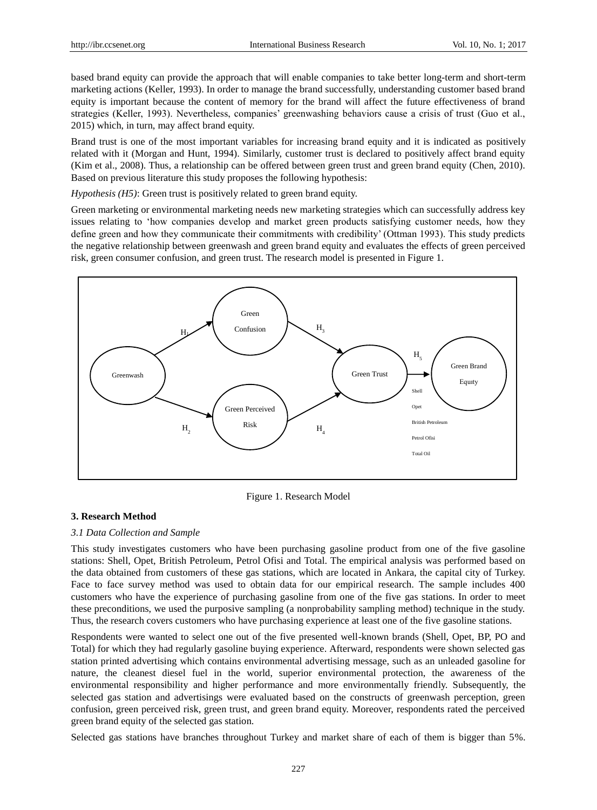based brand equity can provide the approach that will enable companies to take better long-term and short-term marketing actions (Keller, 1993). In order to manage the brand successfully, understanding customer based brand equity is important because the content of memory for the brand will affect the future effectiveness of brand strategies (Keller, 1993). Nevertheless, companies" greenwashing behaviors cause a crisis of trust (Guo et al., 2015) which, in turn, may affect brand equity.

Brand trust is one of the most important variables for increasing brand equity and it is indicated as positively related with it (Morgan and Hunt, 1994). Similarly, customer trust is declared to positively affect brand equity (Kim et al., 2008). Thus, a relationship can be offered between green trust and green brand equity (Chen, 2010). Based on previous literature this study proposes the following hypothesis:

*Hypothesis (H5)*: Green trust is positively related to green brand equity.

Green marketing or environmental marketing needs new marketing strategies which can successfully address key issues relating to "how companies develop and market green products satisfying customer needs, how they define green and how they communicate their commitments with credibility" (Ottman 1993). This study predicts the negative relationship between greenwash and green brand equity and evaluates the effects of green perceived risk, green consumer confusion, and green trust. The research model is presented in Figure 1.



Figure 1. Research Model

# **3. Research Method**

#### *3.1 Data Collection and Sample*

This study investigates customers who have been purchasing gasoline product from one of the five gasoline stations: Shell, Opet, British Petroleum, Petrol Ofisi and Total. The empirical analysis was performed based on the data obtained from customers of these gas stations, which are located in Ankara, the capital city of Turkey. Face to face survey method was used to obtain data for our empirical research. The sample includes 400 customers who have the experience of purchasing gasoline from one of the five gas stations. In order to meet these preconditions, we used the purposive sampling (a nonprobability sampling method) technique in the study. Thus, the research covers customers who have purchasing experience at least one of the five gasoline stations.

Respondents were wanted to select one out of the five presented well-known brands (Shell, Opet, BP, PO and Total) for which they had regularly gasoline buying experience. Afterward, respondents were shown selected gas station printed advertising which contains environmental advertising message, such as an unleaded gasoline for nature, the cleanest diesel fuel in the world, superior environmental protection, the awareness of the environmental responsibility and higher performance and more environmentally friendly. Subsequently, the selected gas station and advertisings were evaluated based on the constructs of greenwash perception, green confusion, green perceived risk, green trust, and green brand equity. Moreover, respondents rated the perceived green brand equity of the selected gas station.

Selected gas stations have branches throughout Turkey and market share of each of them is bigger than 5%.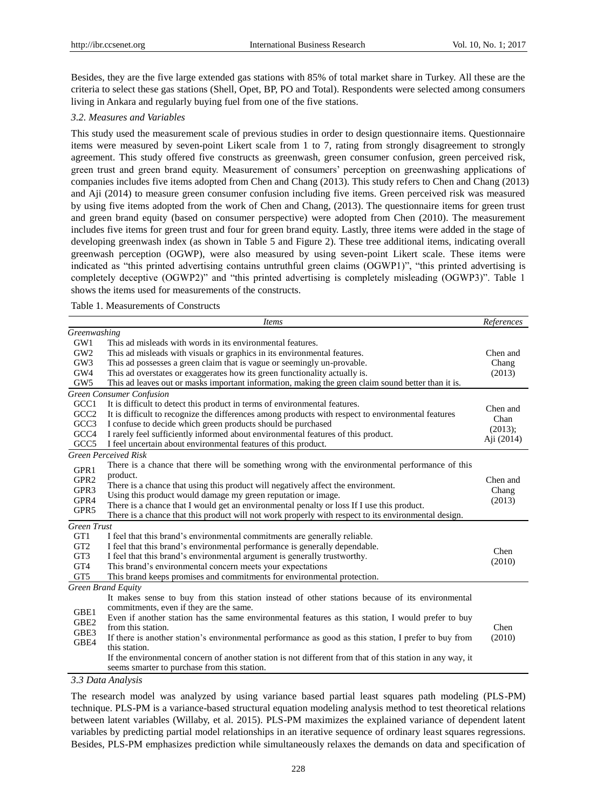Besides, they are the five large extended gas stations with 85% of total market share in Turkey. All these are the criteria to select these gas stations (Shell, Opet, BP, PO and Total). Respondents were selected among consumers living in Ankara and regularly buying fuel from one of the five stations.

## *3.2. Measures and Variables*

This study used the measurement scale of previous studies in order to design questionnaire items. Questionnaire items were measured by seven-point Likert scale from 1 to 7, rating from strongly disagreement to strongly agreement. This study offered five constructs as greenwash, green consumer confusion, green perceived risk, green trust and green brand equity. Measurement of consumers" perception on greenwashing applications of companies includes five items adopted from Chen and Chang (2013). This study refers to Chen and Chang (2013) and Aji (2014) to measure green consumer confusion including five items. Green perceived risk was measured by using five items adopted from the work of Chen and Chang, (2013). The questionnaire items for green trust and green brand equity (based on consumer perspective) were adopted from Chen (2010). The measurement includes five items for green trust and four for green brand equity. Lastly, three items were added in the stage of developing greenwash index (as shown in Table 5 and Figure 2). These tree additional items, indicating overall greenwash perception (OGWP), were also measured by using seven-point Likert scale. These items were indicated as "this printed advertising contains untruthful green claims (OGWP1)", "this printed advertising is completely deceptive (OGWP2)" and "this printed advertising is completely misleading (OGWP3)". Table 1 shows the items used for measurements of the constructs.

Table 1. Measurements of Constructs

|                    | <b>Items</b>                                                                                              | References       |  |  |  |  |  |  |  |
|--------------------|-----------------------------------------------------------------------------------------------------------|------------------|--|--|--|--|--|--|--|
| Greenwashing       |                                                                                                           |                  |  |  |  |  |  |  |  |
| GW1                | This ad misleads with words in its environmental features.                                                |                  |  |  |  |  |  |  |  |
| GW <sub>2</sub>    | This ad misleads with visuals or graphics in its environmental features.                                  | Chen and         |  |  |  |  |  |  |  |
| GW <sub>3</sub>    | This ad possesses a green claim that is vague or seemingly un-provable.                                   |                  |  |  |  |  |  |  |  |
| GW4                | This ad overstates or exaggerates how its green functionality actually is.                                |                  |  |  |  |  |  |  |  |
| GW <sub>5</sub>    | This ad leaves out or masks important information, making the green claim sound better than it is.        |                  |  |  |  |  |  |  |  |
|                    | <b>Green Consumer Confusion</b>                                                                           |                  |  |  |  |  |  |  |  |
| GCC1               | It is difficult to detect this product in terms of environmental features.                                |                  |  |  |  |  |  |  |  |
| GCC <sub>2</sub>   | It is difficult to recognize the differences among products with respect to environmental features        | Chen and<br>Chan |  |  |  |  |  |  |  |
| GCC3               | I confuse to decide which green products should be purchased                                              |                  |  |  |  |  |  |  |  |
| GCC4               | I rarely feel sufficiently informed about environmental features of this product.                         | $(2013)$ ;       |  |  |  |  |  |  |  |
| GCC <sub>5</sub>   | I feel uncertain about environmental features of this product.                                            | Aji (2014)       |  |  |  |  |  |  |  |
|                    | <b>Green Perceived Risk</b>                                                                               |                  |  |  |  |  |  |  |  |
| GPR1               | There is a chance that there will be something wrong with the environmental performance of this           |                  |  |  |  |  |  |  |  |
| GPR <sub>2</sub>   | product.                                                                                                  | Chen and         |  |  |  |  |  |  |  |
| GPR3               | There is a chance that using this product will negatively affect the environment.                         |                  |  |  |  |  |  |  |  |
| GPR4               | Using this product would damage my green reputation or image.                                             |                  |  |  |  |  |  |  |  |
| GPR5               | There is a chance that I would get an environmental penalty or loss If I use this product.                | (2013)           |  |  |  |  |  |  |  |
|                    | There is a chance that this product will not work properly with respect to its environmental design.      |                  |  |  |  |  |  |  |  |
| <b>Green Trust</b> |                                                                                                           |                  |  |  |  |  |  |  |  |
| GT1                | I feel that this brand's environmental commitments are generally reliable.                                |                  |  |  |  |  |  |  |  |
| GT <sub>2</sub>    | I feel that this brand's environmental performance is generally dependable.                               | Chen             |  |  |  |  |  |  |  |
| GT <sub>3</sub>    | I feel that this brand's environmental argument is generally trustworthy.                                 |                  |  |  |  |  |  |  |  |
| GT4                | This brand's environmental concern meets your expectations                                                | (2010)           |  |  |  |  |  |  |  |
| GT5                | This brand keeps promises and commitments for environmental protection.                                   |                  |  |  |  |  |  |  |  |
|                    | <b>Green Brand Equity</b>                                                                                 |                  |  |  |  |  |  |  |  |
|                    | It makes sense to buy from this station instead of other stations because of its environmental            |                  |  |  |  |  |  |  |  |
| GBE1               | commitments, even if they are the same.                                                                   |                  |  |  |  |  |  |  |  |
| GBE <sub>2</sub>   | Even if another station has the same environmental features as this station, I would prefer to buy        |                  |  |  |  |  |  |  |  |
|                    | from this station.                                                                                        | Chen<br>(2010)   |  |  |  |  |  |  |  |
| GBE3<br>GBE4       | If there is another station's environmental performance as good as this station, I prefer to buy from     |                  |  |  |  |  |  |  |  |
|                    | this station.                                                                                             |                  |  |  |  |  |  |  |  |
|                    | If the environmental concern of another station is not different from that of this station in any way, it |                  |  |  |  |  |  |  |  |
|                    | seems smarter to purchase from this station.                                                              |                  |  |  |  |  |  |  |  |
|                    | 2.2 Data Analysis                                                                                         |                  |  |  |  |  |  |  |  |

*3.3 Data Analysis*

The research model was analyzed by using variance based partial least squares path modeling (PLS-PM) technique. PLS-PM is a variance-based structural equation modeling analysis method to test theoretical relations between latent variables (Willaby, et al. 2015). PLS-PM maximizes the explained variance of dependent latent variables by predicting partial model relationships in an iterative sequence of ordinary least squares regressions. Besides, PLS-PM emphasizes prediction while simultaneously relaxes the demands on data and specification of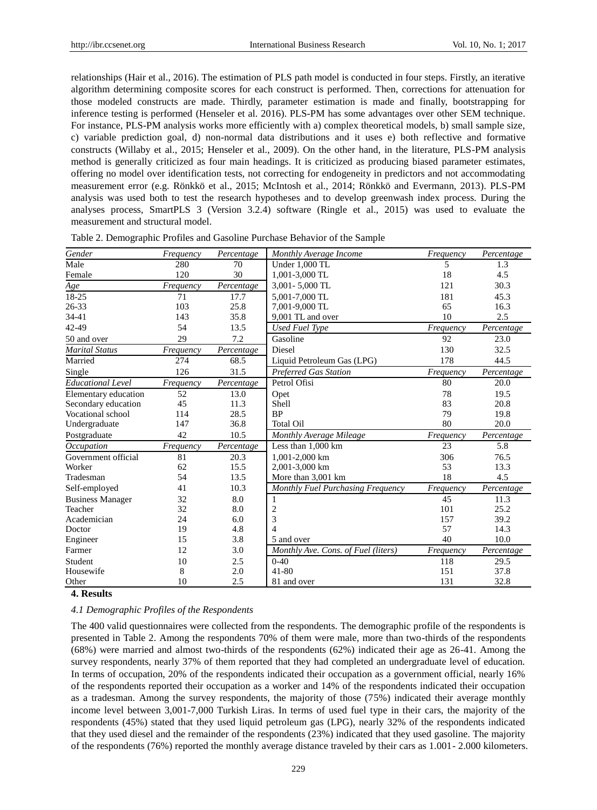relationships (Hair et al., 2016). The estimation of PLS path model is conducted in four steps. Firstly, an iterative algorithm determining composite scores for each construct is performed. Then, corrections for attenuation for those modeled constructs are made. Thirdly, parameter estimation is made and finally, bootstrapping for inference testing is performed (Henseler et al. 2016). PLS-PM has some advantages over other SEM technique. For instance, PLS-PM analysis works more efficiently with a) complex theoretical models, b) small sample size, c) variable prediction goal, d) non-normal data distributions and it uses e) both reflective and formative constructs (Willaby et al., 2015; Henseler et al., 2009). On the other hand, in the literature, PLS-PM analysis method is generally criticized as four main headings. It is criticized as producing biased parameter estimates, offering no model over identification tests, not correcting for endogeneity in predictors and not accommodating measurement error (e.g. Rönkkö et al., 2015; McIntosh et al., 2014; Rönkkö and Evermann, 2013). PLS-PM analysis was used both to test the research hypotheses and to develop greenwash index process. During the analyses process, SmartPLS 3 (Version 3.2.4) software (Ringle et al., 2015) was used to evaluate the measurement and structural model.

| Gender                   | Frequency | Percentage | Monthly Average Income              | Frequency | Percentage |
|--------------------------|-----------|------------|-------------------------------------|-----------|------------|
| Male                     | 280       | 70         | Under 1,000 TL                      | 5         | 1.3        |
| Female                   | 120       | 30         | 1,001-3,000 TL                      | 18        | 4.5        |
| Age                      | Frequency | Percentage | 3,001 - 5,000 TL                    | 121       | 30.3       |
| 18-25                    | 71        | 17.7       | 5.001-7.000 TL                      | 181       | 45.3       |
| 26-33                    | 103       | 25.8       | 7,001-9,000 TL                      | 65        | 16.3       |
| 34-41                    | 143       | 35.8       | 9,001 TL and over                   | 10        | 2.5        |
| 42-49                    | 54        | 13.5       | <b>Used Fuel Type</b>               | Frequency | Percentage |
| 50 and over              | 29        | 7.2        | Gasoline                            | 92        | 23.0       |
| <b>Marital Status</b>    | Frequency | Percentage | <b>Diesel</b>                       | 130       | 32.5       |
| Married                  | 274       | 68.5       | Liquid Petroleum Gas (LPG)          | 178       | 44.5       |
| Single                   | 126       | 31.5       | <b>Preferred Gas Station</b>        | Frequency | Percentage |
| <b>Educational Level</b> | Frequency | Percentage | Petrol Ofisi                        | 80        | 20.0       |
| Elementary education     | 52        | 13.0       | Opet                                | 78        | 19.5       |
| Secondary education      | 45        | 11.3       | Shell                               | 83        | 20.8       |
| Vocational school        | 114       | 28.5       | <b>BP</b>                           | 79        | 19.8       |
| Undergraduate            | 147       | 36.8       | <b>Total Oil</b>                    | 80        | 20.0       |
| Postgraduate             | 42        | 10.5       | Monthly Average Mileage             | Frequency | Percentage |
| Occupation               | Frequency | Percentage | Less than 1,000 km                  | 23        | 5.8        |
| Government official      | 81        | 20.3       | 1.001-2.000 km                      | 306       | 76.5       |
| Worker                   | 62        | 15.5       | 2,001-3,000 km                      | 53        | 13.3       |
| Tradesman                | 54        | 13.5       | More than 3,001 km                  | 18        | 4.5        |
| Self-employed            | 41        | 10.3       | Monthly Fuel Purchasing Frequency   | Frequency | Percentage |
| <b>Business Manager</b>  | 32        | 8.0        | 1                                   | 45        | 11.3       |
| Teacher                  | 32        | 8.0        | 2                                   | 101       | 25.2       |
| Academician              | 24        | 6.0        | 3                                   | 157       | 39.2       |
| Doctor                   | 19        | 4.8        | $\overline{4}$                      | 57        | 14.3       |
| Engineer                 | 15        | 3.8        | 5 and over                          | 40        | 10.0       |
| Farmer                   | 12        | 3.0        | Monthly Ave. Cons. of Fuel (liters) | Frequency | Percentage |
| Student                  | 10        | 2.5        | $0-40$                              | 118       | 29.5       |
| Housewife                | 8         | 2.0        | $41 - 80$                           | 151       | 37.8       |
| Other                    | 10        | 2.5        | 81 and over                         | 131       | 32.8       |

| Table 2. Demographic Profiles and Gasoline Purchase Behavior of the Sample |  |  |  |  |
|----------------------------------------------------------------------------|--|--|--|--|
|                                                                            |  |  |  |  |

#### **4. Results**

#### *4.1 Demographic Profiles of the Respondents*

The 400 valid questionnaires were collected from the respondents. The demographic profile of the respondents is presented in Table 2. Among the respondents 70% of them were male, more than two-thirds of the respondents (68%) were married and almost two-thirds of the respondents (62%) indicated their age as 26-41. Among the survey respondents, nearly 37% of them reported that they had completed an undergraduate level of education. In terms of occupation, 20% of the respondents indicated their occupation as a government official, nearly 16% of the respondents reported their occupation as a worker and 14% of the respondents indicated their occupation as a tradesman. Among the survey respondents, the majority of those (75%) indicated their average monthly income level between 3,001-7,000 Turkish Liras. In terms of used fuel type in their cars, the majority of the respondents (45%) stated that they used liquid petroleum gas (LPG), nearly 32% of the respondents indicated that they used diesel and the remainder of the respondents (23%) indicated that they used gasoline. The majority of the respondents (76%) reported the monthly average distance traveled by their cars as 1.001- 2.000 kilometers.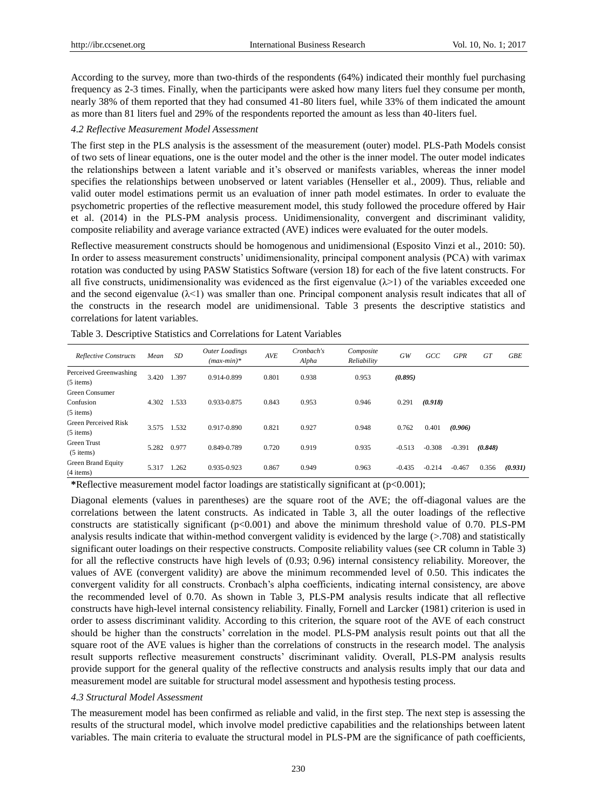According to the survey, more than two-thirds of the respondents (64%) indicated their monthly fuel purchasing frequency as 2-3 times. Finally, when the participants were asked how many liters fuel they consume per month, nearly 38% of them reported that they had consumed 41-80 liters fuel, while 33% of them indicated the amount as more than 81 liters fuel and 29% of the respondents reported the amount as less than 40-liters fuel.

#### *4.2 Reflective Measurement Model Assessment*

The first step in the PLS analysis is the assessment of the measurement (outer) model. PLS-Path Models consist of two sets of linear equations, one is the outer model and the other is the inner model. The outer model indicates the relationships between a latent variable and it"s observed or manifests variables, whereas the inner model specifies the relationships between unobserved or latent variables (Henseller et al., 2009). Thus, reliable and valid outer model estimations permit us an evaluation of inner path model estimates. In order to evaluate the psychometric properties of the reflective measurement model, this study followed the procedure offered by Hair et al. (2014) in the PLS-PM analysis process. Unidimensionality, convergent and discriminant validity, composite reliability and average variance extracted (AVE) indices were evaluated for the outer models.

Reflective measurement constructs should be homogenous and unidimensional (Esposito Vinzi et al., 2010: 50). In order to assess measurement constructs' unidimensionality, principal component analysis (PCA) with varimax rotation was conducted by using PASW Statistics Software (version 18) for each of the five latent constructs. For all five constructs, unidimensionality was evidenced as the first eigenvalue  $(\lambda > 1)$  of the variables exceeded one and the second eigenvalue  $(\lambda < 1)$  was smaller than one. Principal component analysis result indicates that all of the constructs in the research model are unidimensional. Table 3 presents the descriptive statistics and correlations for latent variables.

| Reflective Constructs                      | Mean  | SD    | <b>Outer Loadings</b><br>$(max-min)*$ | <b>AVE</b> | Cronbach's<br>Alpha | Composite<br>Reliability | GW       | GCC      | <b>GPR</b> | <b>GT</b> | <b>GBE</b> |
|--------------------------------------------|-------|-------|---------------------------------------|------------|---------------------|--------------------------|----------|----------|------------|-----------|------------|
| Perceived Greenwashing<br>$(5$ items)      | 3.420 | 1.397 | 0.914-0.899                           | 0.801      | 0.938               | 0.953                    | (0.895)  |          |            |           |            |
| Green Consumer<br>Confusion<br>$(5$ items) | 4.302 | 1.533 | 0.933-0.875                           | 0.843      | 0.953               | 0.946                    | 0.291    | (0.918)  |            |           |            |
| <b>Green Perceived Risk</b><br>$(5$ items) | 3.575 | 1.532 | 0.917-0.890                           | 0.821      | 0.927               | 0.948                    | 0.762    | 0.401    | (0.906)    |           |            |
| Green Trust<br>$(5$ items)                 | 5.282 | 0.977 | 0.849-0.789                           | 0.720      | 0.919               | 0.935                    | $-0.513$ | $-0.308$ | $-0.391$   | (0.848)   |            |
| Green Brand Equity<br>$(4$ items)          | 5.317 | 1.262 | 0.935-0.923                           | 0.867      | 0.949               | 0.963                    | $-0.435$ | $-0.214$ | $-0.467$   | 0.356     | (0.931)    |

Table 3. Descriptive Statistics and Correlations for Latent Variables

**\***Reflective measurement model factor loadings are statistically significant at (p<0.001);

Diagonal elements (values in parentheses) are the square root of the AVE; the off-diagonal values are the correlations between the latent constructs. As indicated in Table 3, all the outer loadings of the reflective constructs are statistically significant (p<0.001) and above the minimum threshold value of 0.70. PLS-PM analysis results indicate that within-method convergent validity is evidenced by the large (>.708) and statistically significant outer loadings on their respective constructs. Composite reliability values (see CR column in Table 3) for all the reflective constructs have high levels of (0.93; 0.96) internal consistency reliability. Moreover, the values of AVE (convergent validity) are above the minimum recommended level of 0.50. This indicates the convergent validity for all constructs. Cronbach"s alpha coefficients, indicating internal consistency, are above the recommended level of 0.70. As shown in Table 3, PLS-PM analysis results indicate that all reflective constructs have high-level internal consistency reliability. Finally, Fornell and Larcker (1981) criterion is used in order to assess discriminant validity. According to this criterion, the square root of the AVE of each construct should be higher than the constructs" correlation in the model. PLS-PM analysis result points out that all the square root of the AVE values is higher than the correlations of constructs in the research model. The analysis result supports reflective measurement constructs" discriminant validity. Overall, PLS-PM analysis results provide support for the general quality of the reflective constructs and analysis results imply that our data and measurement model are suitable for structural model assessment and hypothesis testing process.

#### *4.3 Structural Model Assessment*

The measurement model has been confirmed as reliable and valid, in the first step. The next step is assessing the results of the structural model, which involve model predictive capabilities and the relationships between latent variables. The main criteria to evaluate the structural model in PLS-PM are the significance of path coefficients,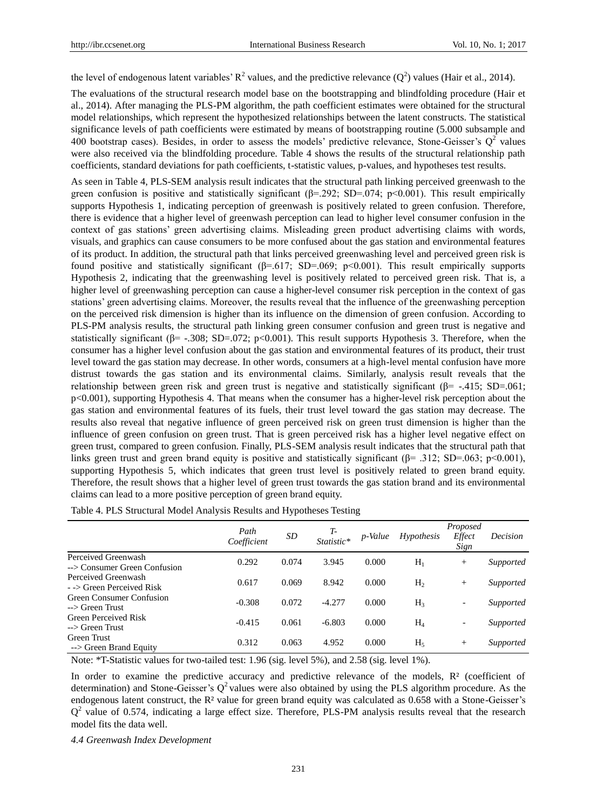the level of endogenous latent variables'  $R^2$  values, and the predictive relevance  $(Q^2)$  values (Hair et al., 2014).

The evaluations of the structural research model base on the bootstrapping and blindfolding procedure (Hair et al., 2014). After managing the PLS-PM algorithm, the path coefficient estimates were obtained for the structural model relationships, which represent the hypothesized relationships between the latent constructs. The statistical significance levels of path coefficients were estimated by means of bootstrapping routine (5.000 subsample and 400 bootstrap cases). Besides, in order to assess the models' predictive relevance, Stone-Geisser's  $Q^2$  values were also received via the blindfolding procedure. Table 4 shows the results of the structural relationship path coefficients, standard deviations for path coefficients, t-statistic values, p-values, and hypotheses test results.

As seen in Table 4, PLS-SEM analysis result indicates that the structural path linking perceived greenwash to the green confusion is positive and statistically significant ( $\beta$ =.292; SD=.074; p<0.001). This result empirically supports Hypothesis 1, indicating perception of greenwash is positively related to green confusion. Therefore, there is evidence that a higher level of greenwash perception can lead to higher level consumer confusion in the context of gas stations" green advertising claims. Misleading green product advertising claims with words, visuals, and graphics can cause consumers to be more confused about the gas station and environmental features of its product. In addition, the structural path that links perceived greenwashing level and perceived green risk is found positive and statistically significant ( $\beta$ =.617; SD=.069; p<0.001). This result empirically supports Hypothesis 2, indicating that the greenwashing level is positively related to perceived green risk. That is, a higher level of greenwashing perception can cause a higher-level consumer risk perception in the context of gas stations" green advertising claims. Moreover, the results reveal that the influence of the greenwashing perception on the perceived risk dimension is higher than its influence on the dimension of green confusion. According to PLS-PM analysis results, the structural path linking green consumer confusion and green trust is negative and statistically significant ( $\beta$ = -.308; SD=.072; p<0.001). This result supports Hypothesis 3. Therefore, when the consumer has a higher level confusion about the gas station and environmental features of its product, their trust level toward the gas station may decrease. In other words, consumers at a high-level mental confusion have more distrust towards the gas station and its environmental claims. Similarly, analysis result reveals that the relationship between green risk and green trust is negative and statistically significant (β= -.415; SD=.061; p<0.001), supporting Hypothesis 4. That means when the consumer has a higher-level risk perception about the gas station and environmental features of its fuels, their trust level toward the gas station may decrease. The results also reveal that negative influence of green perceived risk on green trust dimension is higher than the influence of green confusion on green trust. That is green perceived risk has a higher level negative effect on green trust, compared to green confusion. Finally, PLS-SEM analysis result indicates that the structural path that links green trust and green brand equity is positive and statistically significant ( $\beta$ = .312; SD=.063; p<0.001), supporting Hypothesis 5, which indicates that green trust level is positively related to green brand equity. Therefore, the result shows that a higher level of green trust towards the gas station brand and its environmental claims can lead to a more positive perception of green brand equity.

|                                                     | Path<br>Coefficient | SD    | Statistic* | p-Value | Hypothesis     | Proposed<br>Effect<br>Sign | Decision  |
|-----------------------------------------------------|---------------------|-------|------------|---------|----------------|----------------------------|-----------|
| Perceived Greenwash<br>--> Consumer Green Confusion | 0.292               | 0.074 | 3.945      | 0.000   | $H_1$          | $^{+}$                     | Supported |
| Perceived Greenwash<br>- -> Green Perceived Risk    | 0.617               | 0.069 | 8.942      | 0.000   | H <sub>2</sub> | $^{+}$                     | Supported |
| <b>Green Consumer Confusion</b><br>--> Green Trust  | $-0.308$            | 0.072 | $-4.277$   | 0.000   | $H_3$          | $\overline{\phantom{a}}$   | Supported |
| <b>Green Perceived Risk</b><br>--> Green Trust      | $-0.415$            | 0.061 | $-6.803$   | 0.000   | $H_4$          | $\overline{\phantom{a}}$   | Supported |
| Green Trust<br>--> Green Brand Equity               | 0.312               | 0.063 | 4.952      | 0.000   | $H_5$          | $^{+}$                     | Supported |

Table 4. PLS Structural Model Analysis Results and Hypotheses Testing

Note: \*T-Statistic values for two-tailed test: 1.96 (sig. level 5%), and 2.58 (sig. level 1%).

In order to examine the predictive accuracy and predictive relevance of the models, R<sup>2</sup> (coefficient of determination) and Stone-Geisser's  $Q^2$  values were also obtained by using the PLS algorithm procedure. As the endogenous latent construct, the R<sup>2</sup>value for green brand equity was calculated as 0.658 with a Stone-Geisser's  $Q<sup>2</sup>$  value of 0.574, indicating a large effect size. Therefore, PLS-PM analysis results reveal that the research model fits the data well.

*4.4 Greenwash Index Development*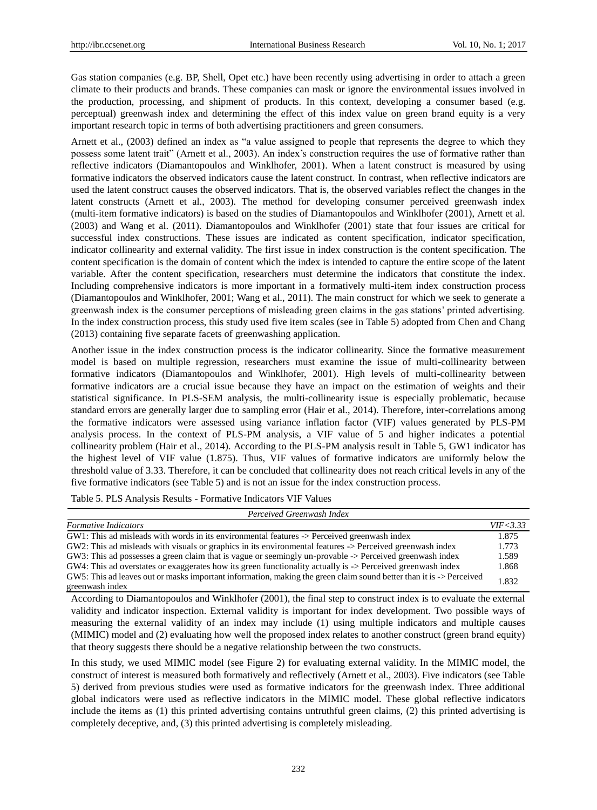Gas station companies (e.g. BP, Shell, Opet etc.) have been recently using advertising in order to attach a green climate to their products and brands. These companies can mask or ignore the environmental issues involved in the production, processing, and shipment of products. In this context, developing a consumer based (e.g. perceptual) greenwash index and determining the effect of this index value on green brand equity is a very important research topic in terms of both advertising practitioners and green consumers.

Arnett et al., (2003) defined an index as "a value assigned to people that represents the degree to which they possess some latent trait" (Arnett et al., 2003). An index"s construction requires the use of formative rather than reflective indicators (Diamantopoulos and Winklhofer, 2001). When a latent construct is measured by using formative indicators the observed indicators cause the latent construct. In contrast, when reflective indicators are used the latent construct causes the observed indicators. That is, the observed variables reflect the changes in the latent constructs (Arnett et al., 2003). The method for developing consumer perceived greenwash index (multi-item formative indicators) is based on the studies of Diamantopoulos and Winklhofer (2001), Arnett et al. (2003) and Wang et al. (2011). Diamantopoulos and Winklhofer (2001) state that four issues are critical for successful index constructions. These issues are indicated as content specification, indicator specification, indicator collinearity and external validity. The first issue in index construction is the content specification. The content specification is the domain of content which the index is intended to capture the entire scope of the latent variable. After the content specification, researchers must determine the indicators that constitute the index. Including comprehensive indicators is more important in a formatively multi-item index construction process (Diamantopoulos and Winklhofer, 2001; Wang et al., 2011). The main construct for which we seek to generate a greenwash index is the consumer perceptions of misleading green claims in the gas stations" printed advertising. In the index construction process, this study used five item scales (see in Table 5) adopted from Chen and Chang (2013) containing five separate facets of greenwashing application.

Another issue in the index construction process is the indicator collinearity. Since the formative measurement model is based on multiple regression, researchers must examine the issue of multi-collinearity between formative indicators (Diamantopoulos and Winklhofer, 2001). High levels of multi-collinearity between formative indicators are a crucial issue because they have an impact on the estimation of weights and their statistical significance. In PLS-SEM analysis, the multi-collinearity issue is especially problematic, because standard errors are generally larger due to sampling error (Hair et al., 2014). Therefore, inter-correlations among the formative indicators were assessed using variance inflation factor (VIF) values generated by PLS-PM analysis process. In the context of PLS-PM analysis, a VIF value of 5 and higher indicates a potential collinearity problem (Hair et al., 2014). According to the PLS-PM analysis result in Table 5, GW1 indicator has the highest level of VIF value (1.875). Thus, VIF values of formative indicators are uniformly below the threshold value of 3.33. Therefore, it can be concluded that collinearity does not reach critical levels in any of the five formative indicators (see Table 5) and is not an issue for the index construction process.

Table 5. PLS Analysis Results - Formative Indicators VIF Values

| Perceived Greenwash Index                                                                                                              |            |  |  |  |  |  |  |
|----------------------------------------------------------------------------------------------------------------------------------------|------------|--|--|--|--|--|--|
| <b>Formative Indicators</b>                                                                                                            | VIF < 3.33 |  |  |  |  |  |  |
| GW1: This ad misleads with words in its environmental features -> Perceived greenwash index                                            | 1.875      |  |  |  |  |  |  |
| GW2: This ad misleads with visuals or graphics in its environmental features -> Perceived greenwash index                              | 1.773      |  |  |  |  |  |  |
| GW3: This ad possesses a green claim that is vague or seemingly un-provable -> Perceived greenwash index                               | 1.589      |  |  |  |  |  |  |
| GW4: This ad overstates or exaggerates how its green functionality actually is -> Perceived greenwash index                            | 1.868      |  |  |  |  |  |  |
| GW5: This ad leaves out or masks important information, making the green claim sound better than it is -> Perceived<br>greenwash index | 1.832      |  |  |  |  |  |  |

According to Diamantopoulos and Winklhofer (2001), the final step to construct index is to evaluate the external validity and indicator inspection. External validity is important for index development. Two possible ways of measuring the external validity of an index may include (1) using multiple indicators and multiple causes (MIMIC) model and (2) evaluating how well the proposed index relates to another construct (green brand equity) that theory suggests there should be a negative relationship between the two constructs.

In this study, we used MIMIC model (see Figure 2) for evaluating external validity. In the MIMIC model, the construct of interest is measured both formatively and reflectively (Arnett et al., 2003). Five indicators (see Table 5) derived from previous studies were used as formative indicators for the greenwash index. Three additional global indicators were used as reflective indicators in the MIMIC model. These global reflective indicators include the items as (1) this printed advertising contains untruthful green claims, (2) this printed advertising is completely deceptive, and, (3) this printed advertising is completely misleading.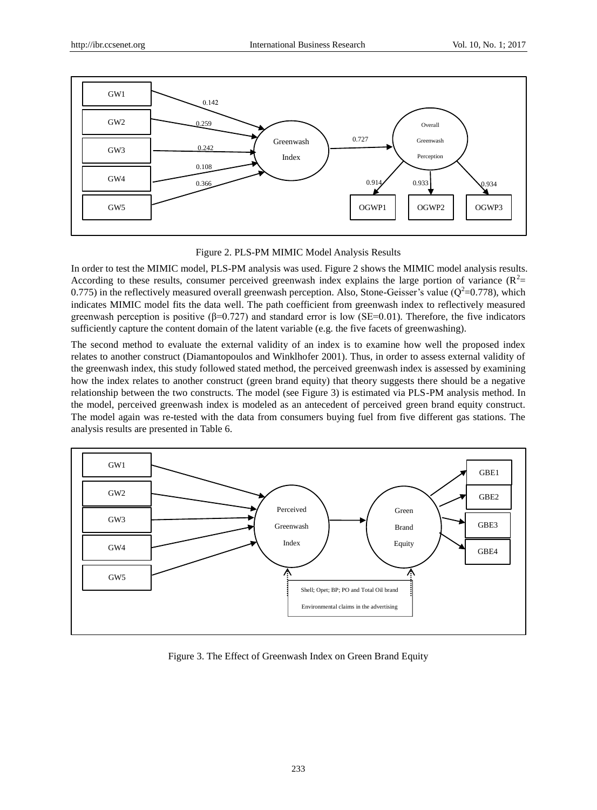

Figure 2. PLS-PM MIMIC Model Analysis Results

In order to test the MIMIC model, PLS-PM analysis was used. Figure 2 shows the MIMIC model analysis results. According to these results, consumer perceived greenwash index explains the large portion of variance  $(R^2=$ 0.775) in the reflectively measured overall greenwash perception. Also, Stone-Geisser's value ( $Q^2$ =0.778), which indicates MIMIC model fits the data well. The path coefficient from greenwash index to reflectively measured greenwash perception is positive  $(\beta=0.727)$  and standard error is low (SE=0.01). Therefore, the five indicators sufficiently capture the content domain of the latent variable (e.g. the five facets of greenwashing).

The second method to evaluate the external validity of an index is to examine how well the proposed index relates to another construct (Diamantopoulos and Winklhofer 2001). Thus, in order to assess external validity of the greenwash index, this study followed stated method, the perceived greenwash index is assessed by examining how the index relates to another construct (green brand equity) that theory suggests there should be a negative relationship between the two constructs. The model (see Figure 3) is estimated via PLS-PM analysis method. In the model, perceived greenwash index is modeled as an antecedent of perceived green brand equity construct. The model again was re-tested with the data from consumers buying fuel from five different gas stations. The analysis results are presented in Table 6.



Figure 3. The Effect of Greenwash Index on Green Brand Equity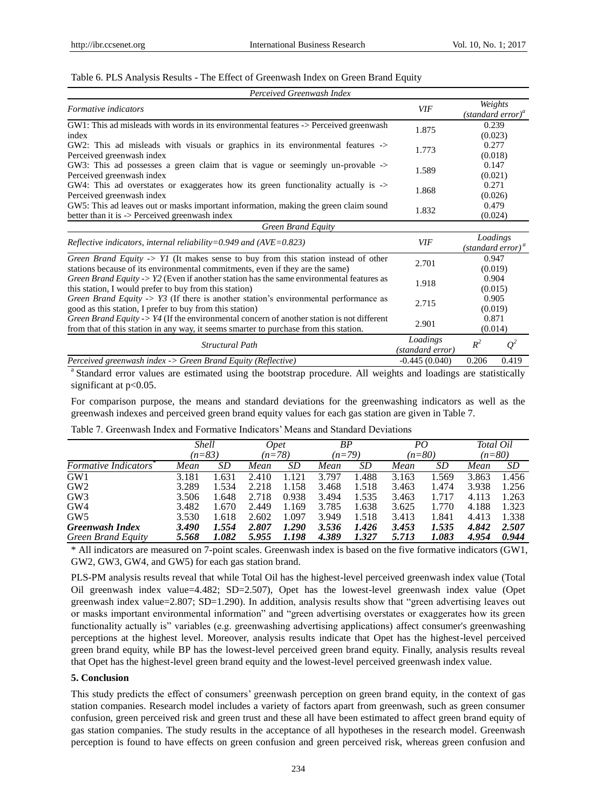## Table 6. PLS Analysis Results - The Effect of Greenwash Index on Green Brand Equity

| Perceived Greenwash Index                                                                                                                                                                |                              |                  |                                           |  |
|------------------------------------------------------------------------------------------------------------------------------------------------------------------------------------------|------------------------------|------------------|-------------------------------------------|--|
| Formative indicators                                                                                                                                                                     | VIF                          |                  | Weights<br>(standard error) <sup>a</sup>  |  |
| GW1: This ad misleads with words in its environmental features -> Perceived greenwash<br>index                                                                                           | 1.875                        |                  | 0.239<br>(0.023)                          |  |
| GW2: This ad misleads with visuals or graphics in its environmental features -><br>Perceived greenwash index                                                                             | 1.773                        |                  | 0.277<br>(0.018)                          |  |
| GW3: This ad possesses a green claim that is vague or seemingly un-provable -><br>Perceived greenwash index                                                                              | 1.589                        |                  | 0.147<br>(0.021)                          |  |
| GW4: This ad overstates or exaggerates how its green functionality actually is -><br>Perceived greenwash index                                                                           | 1.868                        |                  | 0.271<br>(0.026)                          |  |
| GW5: This ad leaves out or masks important information, making the green claim sound<br>better than it is $\rightarrow$ Perceived greenwash index                                        | 1.832                        | 0.479<br>(0.024) |                                           |  |
| Green Brand Equity                                                                                                                                                                       |                              |                  |                                           |  |
| Reflective indicators, internal reliability=0.949 and $(AVE=0.823)$                                                                                                                      | VIF                          |                  | Loadings<br>(standard error) <sup>a</sup> |  |
| Green Brand Equity $\rightarrow$ Y1 (It makes sense to buy from this station instead of other<br>stations because of its environmental commitments, even if they are the same)           | 2.701                        |                  | 0.947<br>(0.019)                          |  |
| <i>Green Brand Equity -&gt; Y2</i> (Even if another station has the same environmental features as<br>this station, I would prefer to buy from this station)                             | 1.918                        |                  | 0.904<br>(0.015)                          |  |
| Green Brand Equity $\cdot$ > Y3 (If there is another station's environmental performance as<br>good as this station, I prefer to buy from this station)                                  | 2.715                        | 0.905<br>(0.019) |                                           |  |
| Green Brand Equity $\sim Y/4$ (If the environmental concern of another station is not different<br>from that of this station in any way, it seems smarter to purchase from this station. | 2.901                        |                  | 0.871<br>(0.014)                          |  |
| Structural Path                                                                                                                                                                          | Loadings<br>(standard error) | $R^2$            | $Q^2$                                     |  |
| Perceived greenwash index -> Green Brand Equity (Reflective)                                                                                                                             | $-0.445(0.040)$              | 0.206            | 0.419                                     |  |

<sup>a</sup> Standard error values are estimated using the bootstrap procedure. All weights and loadings are statistically significant at  $p<0.05$ .

For comparison purpose, the means and standard deviations for the greenwashing indicators as well as the greenwash indexes and perceived green brand equity values for each gas station are given in Table 7.

|                      |       | <b>Shell</b><br>$(n=83)$ |       | <i>Opet</i><br>$(n=78)$ |       | ΒP<br>$(n=79)$ |       | PO.<br>$(n=80)$ |       | Total Oil |
|----------------------|-------|--------------------------|-------|-------------------------|-------|----------------|-------|-----------------|-------|-----------|
|                      |       |                          |       |                         |       |                |       |                 |       | $(n=80)$  |
| Formative Indicators | Mean  | SD                       | Mean  | SD                      | Mean  | SD             | Mean  | SD              | Mean  | SD        |
| GW1                  | 3.181 | 1.631                    | 2.410 | .121                    | 3.797 | 1.488          | 3.163 | 1.569           | 3.863 | 1.456     |
| GW2                  | 3.289 | 1.534                    | 2.218 | 1.158                   | 3.468 | 1.518          | 3.463 | 1.474           | 3.938 | 1.256     |
| GW3                  | 3.506 | 1.648                    | 2.718 | 0.938                   | 3.494 | 1.535          | 3.463 | 1.717           | 4.113 | 1.263     |
| GW4                  | 3.482 | 1.670                    | 2.449 | 1.169                   | 3.785 | 1.638          | 3.625 | 1.770           | 4.188 | 1.323     |
| GW5                  | 3.530 | 1.618                    | 2.602 | 1.097                   | 3.949 | 1.518          | 3.413 | 1.841           | 4.413 | 1.338     |
| Greenwash Index      | 3.490 | 1.554                    | 2.807 | 1.290                   | 3.536 | 1.426          | 3.453 | 1.535           | 4.842 | 2.507     |
| Green Brand Equity   | 5.568 | 1.082                    | 5.955 | 1.198                   | 4.389 | 1.327          | 5.713 | 1.083           | 4.954 | 0.944     |

Table 7. Greenwash Index and Formative Indicators" Means and Standard Deviations

\* All indicators are measured on 7-point scales. Greenwash index is based on the five formative indicators (GW1, GW2, GW3, GW4, and GW5) for each gas station brand.

PLS-PM analysis results reveal that while Total Oil has the highest-level perceived greenwash index value (Total Oil greenwash index value=4.482; SD=2.507), Opet has the lowest-level greenwash index value (Opet greenwash index value=2.807; SD=1.290). In addition, analysis results show that "green advertising leaves out or masks important environmental information" and "green advertising overstates or exaggerates how its green functionality actually is" variables (e.g. greenwashing advertising applications) affect consumer's greenwashing perceptions at the highest level. Moreover, analysis results indicate that Opet has the highest-level perceived green brand equity, while BP has the lowest-level perceived green brand equity. Finally, analysis results reveal that Opet has the highest-level green brand equity and the lowest-level perceived greenwash index value.

## **5. Conclusion**

This study predicts the effect of consumers" greenwash perception on green brand equity, in the context of gas station companies. Research model includes a variety of factors apart from greenwash, such as green consumer confusion, green perceived risk and green trust and these all have been estimated to affect green brand equity of gas station companies. The study results in the acceptance of all hypotheses in the research model. Greenwash perception is found to have effects on green confusion and green perceived risk, whereas green confusion and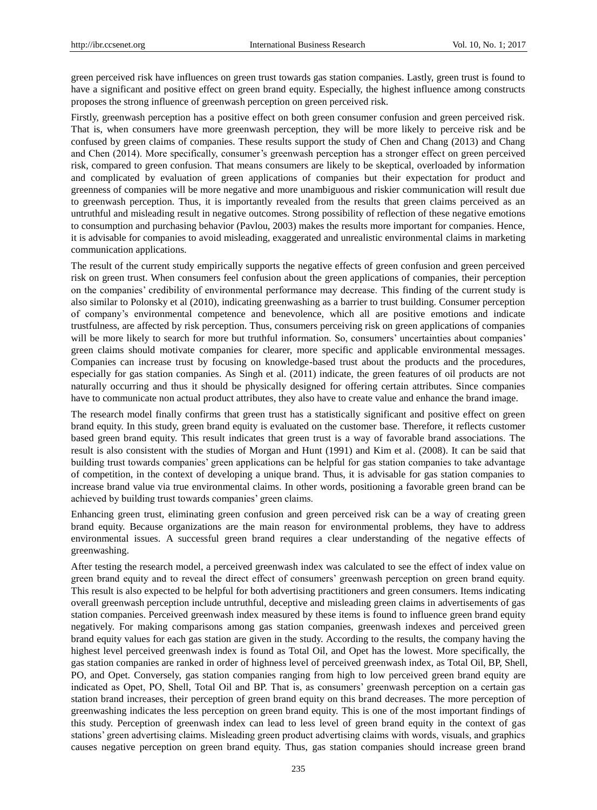green perceived risk have influences on green trust towards gas station companies. Lastly, green trust is found to have a significant and positive effect on green brand equity. Especially, the highest influence among constructs proposes the strong influence of greenwash perception on green perceived risk.

Firstly, greenwash perception has a positive effect on both green consumer confusion and green perceived risk. That is, when consumers have more greenwash perception, they will be more likely to perceive risk and be confused by green claims of companies. These results support the study of Chen and Chang (2013) and Chang and Chen (2014). More specifically, consumer's greenwash perception has a stronger effect on green perceived risk, compared to green confusion. That means consumers are likely to be skeptical, overloaded by information and complicated by evaluation of green applications of companies but their expectation for product and greenness of companies will be more negative and more unambiguous and riskier communication will result due to greenwash perception. Thus, it is importantly revealed from the results that green claims perceived as an untruthful and misleading result in negative outcomes. Strong possibility of reflection of these negative emotions to consumption and purchasing behavior (Pavlou, 2003) makes the results more important for companies. Hence, it is advisable for companies to avoid misleading, exaggerated and unrealistic environmental claims in marketing communication applications.

The result of the current study empirically supports the negative effects of green confusion and green perceived risk on green trust. When consumers feel confusion about the green applications of companies, their perception on the companies" credibility of environmental performance may decrease. This finding of the current study is also similar to Polonsky et al (2010), indicating greenwashing as a barrier to trust building. Consumer perception of company"s environmental competence and benevolence, which all are positive emotions and indicate trustfulness, are affected by risk perception. Thus, consumers perceiving risk on green applications of companies will be more likely to search for more but truthful information. So, consumers' uncertainties about companies' green claims should motivate companies for clearer, more specific and applicable environmental messages. Companies can increase trust by focusing on knowledge-based trust about the products and the procedures, especially for gas station companies. As Singh et al. (2011) indicate, the green features of oil products are not naturally occurring and thus it should be physically designed for offering certain attributes. Since companies have to communicate non actual product attributes, they also have to create value and enhance the brand image.

The research model finally confirms that green trust has a statistically significant and positive effect on green brand equity. In this study, green brand equity is evaluated on the customer base. Therefore, it reflects customer based green brand equity. This result indicates that green trust is a way of favorable brand associations. The result is also consistent with the studies of Morgan and Hunt (1991) and Kim et al. (2008). It can be said that building trust towards companies" green applications can be helpful for gas station companies to take advantage of competition, in the context of developing a unique brand. Thus, it is advisable for gas station companies to increase brand value via true environmental claims. In other words, positioning a favorable green brand can be achieved by building trust towards companies' green claims.

Enhancing green trust, eliminating green confusion and green perceived risk can be a way of creating green brand equity. Because organizations are the main reason for environmental problems, they have to address environmental issues. A successful green brand requires a clear understanding of the negative effects of greenwashing.

After testing the research model, a perceived greenwash index was calculated to see the effect of index value on green brand equity and to reveal the direct effect of consumers" greenwash perception on green brand equity. This result is also expected to be helpful for both advertising practitioners and green consumers. Items indicating overall greenwash perception include untruthful, deceptive and misleading green claims in advertisements of gas station companies. Perceived greenwash index measured by these items is found to influence green brand equity negatively. For making comparisons among gas station companies, greenwash indexes and perceived green brand equity values for each gas station are given in the study. According to the results, the company having the highest level perceived greenwash index is found as Total Oil, and Opet has the lowest. More specifically, the gas station companies are ranked in order of highness level of perceived greenwash index, as Total Oil, BP, Shell, PO, and Opet. Conversely, gas station companies ranging from high to low perceived green brand equity are indicated as Opet, PO, Shell, Total Oil and BP. That is, as consumers" greenwash perception on a certain gas station brand increases, their perception of green brand equity on this brand decreases. The more perception of greenwashing indicates the less perception on green brand equity. This is one of the most important findings of this study. Perception of greenwash index can lead to less level of green brand equity in the context of gas stations' green advertising claims. Misleading green product advertising claims with words, visuals, and graphics causes negative perception on green brand equity. Thus, gas station companies should increase green brand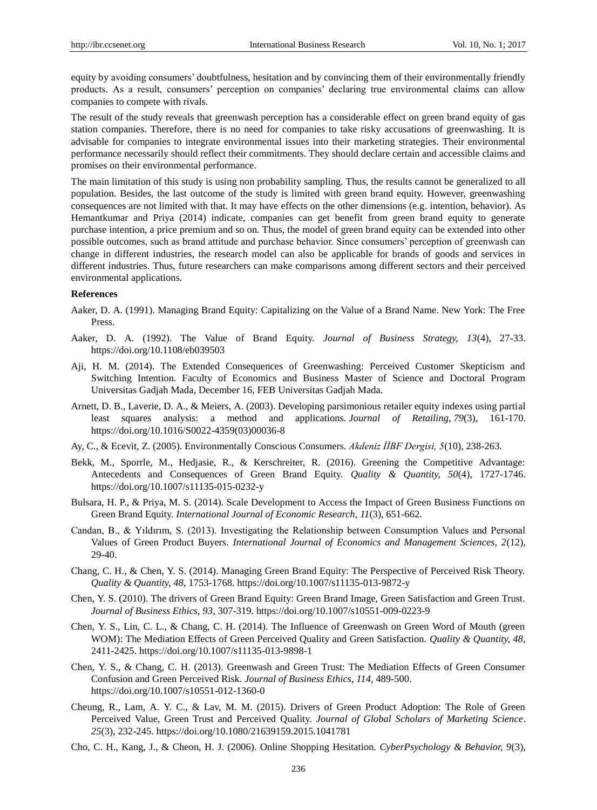equity by avoiding consumers" doubtfulness, hesitation and by convincing them of their environmentally friendly products. As a result, consumers" perception on companies" declaring true environmental claims can allow companies to compete with rivals.

The result of the study reveals that greenwash perception has a considerable effect on green brand equity of gas station companies. Therefore, there is no need for companies to take risky accusations of greenwashing. It is advisable for companies to integrate environmental issues into their marketing strategies. Their environmental performance necessarily should reflect their commitments. They should declare certain and accessible claims and promises on their environmental performance.

The main limitation of this study is using non probability sampling. Thus, the results cannot be generalized to all population. Besides, the last outcome of the study is limited with green brand equity. However, greenwashing consequences are not limited with that. It may have effects on the other dimensions (e.g. intention, behavior). As Hemantkumar and Priya (2014) indicate, companies can get benefit from green brand equity to generate purchase intention, a price premium and so on. Thus, the model of green brand equity can be extended into other possible outcomes, such as brand attitude and purchase behavior. Since consumers" perception of greenwash can change in different industries, the research model can also be applicable for brands of goods and services in different industries. Thus, future researchers can make comparisons among different sectors and their perceived environmental applications.

#### **References**

- Aaker, D. A. (1991). Managing Brand Equity: Capitalizing on the Value of a Brand Name. New York: The Free Press.
- Aaker, D. A. (1992). The Value of Brand Equity. *Journal of Business Strategy, 13*(4), 27-33. <https://doi.org/10.1108/eb039503>
- Aji, H. M. (2014). The Extended Consequences of Greenwashing: Perceived Customer Skepticism and Switching Intention. Faculty of Economics and Business Master of Science and Doctoral Program Universitas Gadjah Mada, December 16, FEB Universitas Gadjah Mada.
- Arnett, D. B., Laverie, D. A., & Meiers, A. (2003). Developing parsimonious retailer equity indexes using partial least squares analysis: a method and applications. *Journal of Retailing, 79*(3), 161-170. [https://doi.org/10.1016/S0022-4359\(03\)00036-8](https://doi.org/10.1016/S0022-4359(03)00036-8)
- Ay, C., & Ecevit, Z. (2005). Environmentally Conscious Consumers. *Akdeniz İİBF Dergisi, 5*(10), 238-263.
- Bekk, M., Sporrle, M., Hedjasie, R., & Kerschreiter, R. (2016). Greening the Competitive Advantage: Antecedents and Consequences of Green Brand Equity. *Quality & Quantity, 50*(4), 1727-1746. <https://doi.org/10.1007/s11135-015-0232-y>
- Bulsara, H. P., & Priya, M. S. (2014). Scale Development to Access the Impact of Green Business Functions on Green Brand Equity. *International Journal of Economic Research, 11*(3), 651-662.
- Candan, B., & Yıldırım, S. (2013). Investigating the Relationship between Consumption Values and Personal Values of Green Product Buyers. *International Journal of Economics and Management Sciences, 2*(12), 29-40.
- Chang, C. H., & Chen, Y. S. (2014). Managing Green Brand Equity: The Perspective of Perceived Risk Theory. *Quality & Quantity, 48,* 1753-1768[. https://doi.org/10.1007/s11135-013-9872-y](https://doi.org/10.1007/s11135-013-9872-y)
- Chen, Y. S. (2010). The drivers of Green Brand Equity: Green Brand Image, Green Satisfaction and Green Trust. *Journal of Business Ethics, 93*, 307-319[. https://doi.org/10.1007/s10551-009-0223-9](https://doi.org/10.1007/s10551-009-0223-9)
- Chen, Y. S., Lin, C. L., & Chang, C. H. (2014). The Influence of Greenwash on Green Word of Mouth (green WOM): The Mediation Effects of Green Perceived Quality and Green Satisfaction. *Quality & Quantity, 48,*  2411-2425.<https://doi.org/10.1007/s11135-013-9898-1>
- Chen, Y. S., & Chang, C. H. (2013). Greenwash and Green Trust: The Mediation Effects of Green Consumer Confusion and Green Perceived Risk. *Journal of Business Ethics*, *114,* 489-500. <https://doi.org/10.1007/s10551-012-1360-0>
- Cheung, R., Lam, A. Y. C., & Lav, M. M. (2015). Drivers of Green Product Adoption: The Role of Green Perceived Value, Green Trust and Perceived Quality. *Journal of Global Scholars of Marketing Science*. *25*(3), 232-245.<https://doi.org/10.1080/21639159.2015.1041781>
- Cho, C. H., Kang, J., & Cheon, H. J. (2006). Online Shopping Hesitation. *CyberPsychology & Behavior, 9*(3),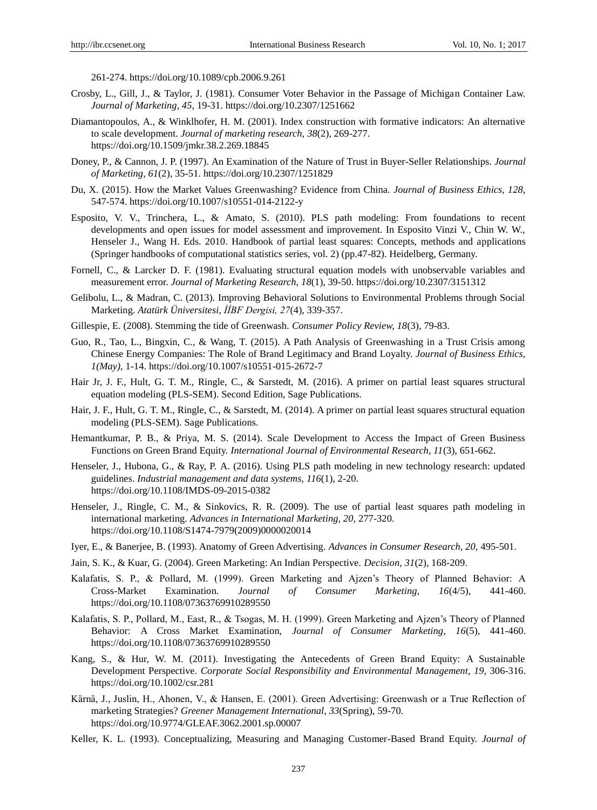261-274.<https://doi.org/10.1089/cpb.2006.9.261>

- Crosby, L., Gill, J., & Taylor, J. (1981). Consumer Voter Behavior in the Passage of Michigan Container Law. *Journal of Marketing, 45,* 19-31.<https://doi.org/10.2307/1251662>
- Diamantopoulos, A., & Winklhofer, H. M. (2001). Index construction with formative indicators: An alternative to scale development. *Journal of marketing research, 38*(2), 269-277. <https://doi.org/10.1509/jmkr.38.2.269.18845>
- Doney, P., & Cannon, J. P. (1997). An Examination of the Nature of Trust in Buyer-Seller Relationships. *Journal of Marketing, 61*(2), 35-51.<https://doi.org/10.2307/1251829>
- Du, X. (2015). How the Market Values Greenwashing? Evidence from China. *Journal of Business Ethics, 128,*  547-574.<https://doi.org/10.1007/s10551-014-2122-y>
- Esposito, V. V., Trinchera, L., & Amato, S. (2010). PLS path modeling: From foundations to recent developments and open issues for model assessment and improvement. In Esposito Vinzi V., Chin W. W., Henseler J., Wang H. Eds. 2010. Handbook of partial least squares: Concepts, methods and applications (Springer handbooks of computational statistics series, vol. 2) (pp.47-82). Heidelberg, Germany.
- Fornell, C., & Larcker D. F. (1981). Evaluating structural equation models with unobservable variables and measurement error. *Journal of Marketing Research, 18*(1), 39-50[. https://doi.org/10.2307/3151312](https://doi.org/10.2307/3151312)
- Gelibolu, L., & Madran, C. (2013). Improving Behavioral Solutions to Environmental Problems through Social Marketing. *Atatürk Üniversitesi, İİBF Dergisi, 27*(4), 339-357.
- Gillespie, E. (2008). Stemming the tide of Greenwash. *Consumer Policy Review, 18*(3), 79-83.
- Guo, R., Tao, L., Bingxin, C., & Wang, T. (2015). A Path Analysis of Greenwashing in a Trust Crisis among Chinese Energy Companies: The Role of Brand Legitimacy and Brand Loyalty. *Journal of Business Ethics, 1(May),* 1-14[. https://doi.org/10.1007/s10551-015-2672-7](https://doi.org/10.1007/s10551-015-2672-7)
- Hair Jr, J. F., Hult, G. T. M., Ringle, C., & Sarstedt, M. (2016). A primer on partial least squares structural equation modeling (PLS-SEM). Second Edition, Sage Publications.
- Hair, J. F., Hult, G. T. M., Ringle, C., & Sarstedt, M. (2014). A primer on partial least squares structural equation modeling (PLS-SEM). Sage Publications.
- Hemantkumar, P. B., & Priya, M. S. (2014). Scale Development to Access the Impact of Green Business Functions on Green Brand Equity. *International Journal of Environmental Research, 11*(3), 651-662.
- Henseler, J., Hubona, G., & Ray, P. A. (2016). Using PLS path modeling in new technology research: updated guidelines. *Industrial management and data systems, 116*(1), 2-20. <https://doi.org/10.1108/IMDS-09-2015-0382>
- Henseler, J., Ringle, C. M., & Sinkovics, R. R. (2009). The use of partial least squares path modeling in international marketing. *Advances in International Marketing, 20,* 277-320. [https://doi.org/10.1108/S1474-7979\(2009\)0000020014](https://doi.org/10.1108/S1474-7979(2009)0000020014)
- Iyer, E., & Banerjee, B. (1993). Anatomy of Green Advertising. *Advances in Consumer Research, 20,* 495-501.
- Jain, S. K., & Kuar, G. (2004). Green Marketing: An Indian Perspective. *Decision, 31*(2), 168-209.
- Kalafatis, S. P., & Pollard, M. (1999). Green Marketing and Ajzen"s Theory of Planned Behavior: A Cross-Market Examination. *Journal of Consumer Marketing, 16*(4/5), 441-460. <https://doi.org/10.1108/07363769910289550>
- Kalafatis, S. P., Pollard, M., East, R., & Tsogas, M. H. (1999). Green Marketing and Ajzen"s Theory of Planned Behavior: A Cross Market Examination, *Journal of Consumer Marketing, 16*(5), 441-460. <https://doi.org/10.1108/07363769910289550>
- Kang, S., & Hur, W. M. (2011). Investigating the Antecedents of Green Brand Equity: A Sustainable Development Perspective. *Corporate Social Responsibility and Environmental Management, 19, 306-316.* <https://doi.org/10.1002/csr.281>
- Kärnä, J., Juslin, H., Ahonen, V., & Hansen, E. (2001). Green Advertising: Greenwash or a True Reflection of marketing Strategies? *Greener Management International, 33*(Spring), 59-70. <https://doi.org/10.9774/GLEAF.3062.2001.sp.00007>
- Keller, K. L. (1993). Conceptualizing, Measuring and Managing Customer-Based Brand Equity. *Journal of*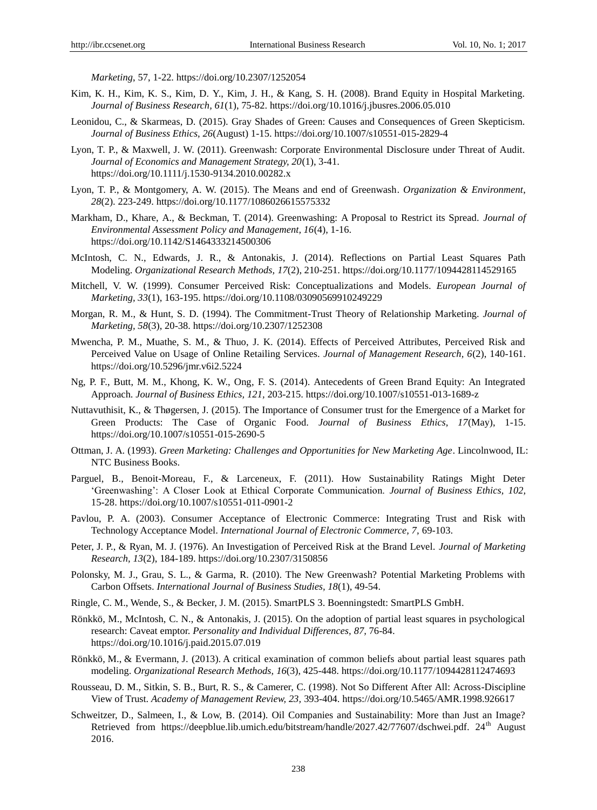*Marketing*, 57, 1-22.<https://doi.org/10.2307/1252054>

- Kim, K. H., Kim, K. S., Kim, D. Y., Kim, J. H., & Kang, S. H. (2008). Brand Equity in Hospital Marketing. *Journal of Business Research, 61*(1), 75-82.<https://doi.org/10.1016/j.jbusres.2006.05.010>
- Leonidou, C., & Skarmeas, D. (2015). Gray Shades of Green: Causes and Consequences of Green Skepticism. *Journal of Business Ethics, 26*(August) 1-15[. https://doi.org/10.1007/s10551-015-2829-4](https://doi.org/10.1007/s10551-015-2829-4)
- Lyon, T. P., & Maxwell, J. W. (2011). Greenwash: Corporate Environmental Disclosure under Threat of Audit. *Journal of Economics and Management Strategy, 20*(1), 3-41. <https://doi.org/10.1111/j.1530-9134.2010.00282.x>
- Lyon, T. P., & Montgomery, A. W. (2015). The Means and end of Greenwash. *Organization & Environment*, *28*(2). 223-249.<https://doi.org/10.1177/1086026615575332>
- Markham, D., Khare, A., & Beckman, T. (2014). Greenwashing: A Proposal to Restrict its Spread. *Journal of Environmental Assessment Policy and Management, 16*(4), 1-16. <https://doi.org/10.1142/S1464333214500306>
- McIntosh, C. N., Edwards, J. R., & Antonakis, J. (2014). Reflections on Partial Least Squares Path Modeling. *Organizational Research Methods, 17*(2), 210-251.<https://doi.org/10.1177/1094428114529165>
- Mitchell, V. W. (1999). Consumer Perceived Risk: Conceptualizations and Models. *European Journal of Marketing, 33*(1), 163-195[. https://doi.org/10.1108/03090569910249229](https://doi.org/10.1108/03090569910249229)
- Morgan, R. M., & Hunt, S. D. (1994). The Commitment-Trust Theory of Relationship Marketing. *Journal of Marketing, 58*(3), 20-38[. https://doi.org/10.2307/1252308](https://doi.org/10.2307/1252308)
- Mwencha, P. M., Muathe, S. M., & Thuo, J. K. (2014). Effects of Perceived Attributes, Perceived Risk and Perceived Value on Usage of Online Retailing Services. *Journal of Management Research, 6*(2), 140-161. <https://doi.org/10.5296/jmr.v6i2.5224>
- Ng, P. F., Butt, M. M., Khong, K. W., Ong, F. S. (2014). Antecedents of Green Brand Equity: An Integrated Approach. *Journal of Business Ethics, 121,* 203-215.<https://doi.org/10.1007/s10551-013-1689-z>
- Nuttavuthisit, K., & Thøgersen, J. (2015). The Importance of Consumer trust for the Emergence of a Market for Green Products: The Case of Organic Food. *Journal of Business Ethics, 17*(May), 1-15. <https://doi.org/10.1007/s10551-015-2690-5>
- Ottman, J. A. (1993). *Green Marketing: Challenges and Opportunities for New Marketing Age*. Lincolnwood, IL: NTC Business Books.
- Parguel, B., Benoit-Moreau, F., & Larceneux, F. (2011). How Sustainability Ratings Might Deter "Greenwashing": A Closer Look at Ethical Corporate Communication. *Journal of Business Ethics, 102,*  15-28.<https://doi.org/10.1007/s10551-011-0901-2>
- Pavlou, P. A. (2003). Consumer Acceptance of Electronic Commerce: Integrating Trust and Risk with Technology Acceptance Model. *International Journal of Electronic Commerce, 7,* 69-103.
- Peter, J. P., & Ryan, M. J. (1976). An Investigation of Perceived Risk at the Brand Level. *Journal of Marketing Research, 13*(2), 184-189[. https://doi.org/10.2307/3150856](https://doi.org/10.2307/3150856)
- Polonsky, M. J., Grau, S. L., & Garma, R. (2010). The New Greenwash? Potential Marketing Problems with Carbon Offsets. *International Journal of Business Studies, 18*(1), 49-54.
- Ringle, C. M., Wende, S., & Becker, J. M. (2015). SmartPLS 3. Boenningstedt: SmartPLS GmbH.
- Rönkkö, M., McIntosh, C. N., & Antonakis, J. (2015). On the adoption of partial least squares in psychological research: Caveat emptor. *Personality and Individual Differences, 87,* 76-84. <https://doi.org/10.1016/j.paid.2015.07.019>
- Rönkkö, M., & Evermann, J. (2013). A critical examination of common beliefs about partial least squares path modeling. *Organizational Research Methods, 16*(3), 425-448[. https://doi.org/10.1177/1094428112474693](https://doi.org/10.1177/1094428112474693)
- Rousseau, D. M., Sitkin, S. B., Burt, R. S., & Camerer, C. (1998). Not So Different After All: Across-Discipline View of Trust. *Academy of Management Review, 23,* 393-404[. https://doi.org/10.5465/AMR.1998.926617](https://doi.org/10.5465/AMR.1998.926617)
- Schweitzer, D., Salmeen, I., & Low, B. (2014). Oil Companies and Sustainability: More than Just an Image? Retrieved from https://deepblue.lib.umich.edu/bitstream/handle/2027.42/77607/dschwei.pdf. 24<sup>th</sup> August 2016.